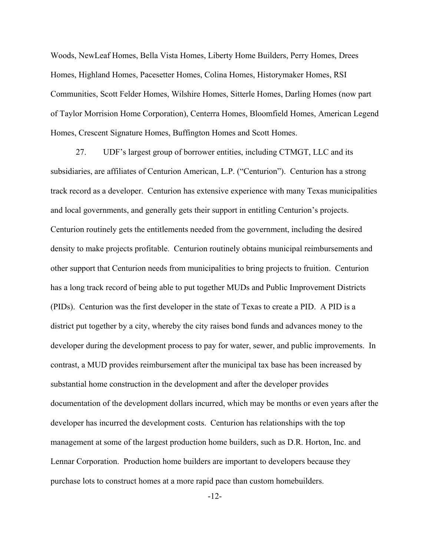Woods, NewLeaf Homes, Bella Vista Homes, Liberty Home Builders, Perry Homes, Drees Homes, Highland Homes, Pacesetter Homes, Colina Homes, Historymaker Homes, RSI Communities, Scott Felder Homes, Wilshire Homes, Sitterle Homes, Darling Homes (now part of Taylor Morrision Home Corporation), Centerra Homes, Bloomfield Homes, American Legend Homes, Crescent Signature Homes, Buffington Homes and Scott Homes. 27. NewLeaf Homes, Bella Vista Homes, Liberty Home Builders, Perry Homes, Drees<br>27. Highland Homes, Pacesetter Homes, Colina Homes, Historymaker Homes, RSI<br>27. Horrision Home Corporation), Centerra Homes, Bloomfield Homes,

subsidiaries, are affiliates of Centurion American, L.P. ("Centurion"). Centurion has a strong track record as a developer. Centurion has extensive experience with many Texas municipalities and local governments, and generally gets their support in entitling Centurion's projects. Centurion routinely gets the entitlements needed from the government, including the desired density to make projects profitable. Centurion routinely obtains municipal reimbursements and other support that Centurion needs from municipalities to bring projects to fruition. Centurion has a long track record of being able to put together MUDs and Public Improvement Districts (PIDs). Centurion was the first developer in the state of Texas to create a PID. A PID is a district put together by a city, whereby the city raises bond funds and advances money to the developer during the development process to pay for water, sewer, and public improvements. In contrast, a MUD provides reimbursement after the municipal tax base has been increased by substantial home construction in the development and after the developer provides documentation of the development dollars incurred, which may be months or even years after the developer has incurred the development costs. Centurion has relationships with the top management at some of the largest production home builders, such as D.R. Horton, Inc. and Lennar Corporation. Production home builders are important to developers because they purchase lots to construct homes at a more rapid pace than custom homebuilders.

-12-